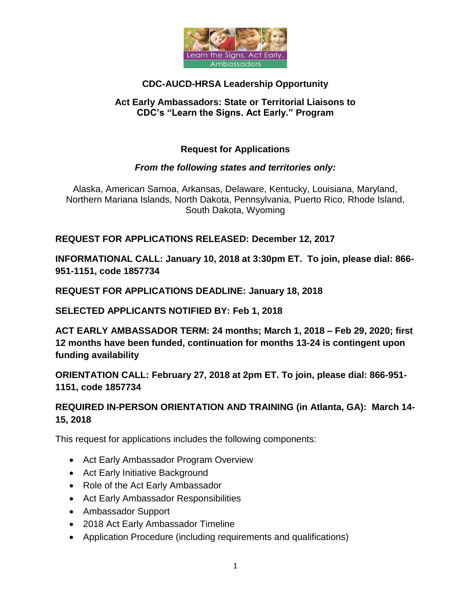

# **CDC-AUCD-HRSA Leadership Opportunity**

#### **Act Early Ambassadors: State or Territorial Liaisons to CDC's "Learn the Signs. Act Early." Program**

## **Request for Applications**

### *From the following states and territories only:*

Alaska, American Samoa, Arkansas, Delaware, Kentucky, Louisiana, Maryland, Northern Mariana Islands, North Dakota, Pennsylvania, Puerto Rico, Rhode Island, South Dakota, Wyoming

### **REQUEST FOR APPLICATIONS RELEASED: December 12, 2017**

**INFORMATIONAL CALL: January 10, 2018 at 3:30pm ET. To join, please dial: 866- 951-1151, code 1857734**

**REQUEST FOR APPLICATIONS DEADLINE: January 18, 2018**

**SELECTED APPLICANTS NOTIFIED BY: Feb 1, 2018**

**ACT EARLY AMBASSADOR TERM: 24 months; March 1, 2018 – Feb 29, 2020; first 12 months have been funded, continuation for months 13-24 is contingent upon funding availability** 

**ORIENTATION CALL: February 27, 2018 at 2pm ET. To join, please dial: 866-951- 1151, code 1857734**

## **REQUIRED IN-PERSON ORIENTATION AND TRAINING (in Atlanta, GA): March 14- 15, 2018**

This request for applications includes the following components:

- Act Early Ambassador Program Overview
- Act Early Initiative Background
- Role of the Act Early Ambassador
- Act Early Ambassador Responsibilities
- Ambassador Support
- 2018 Act Early Ambassador Timeline
- Application Procedure (including requirements and qualifications)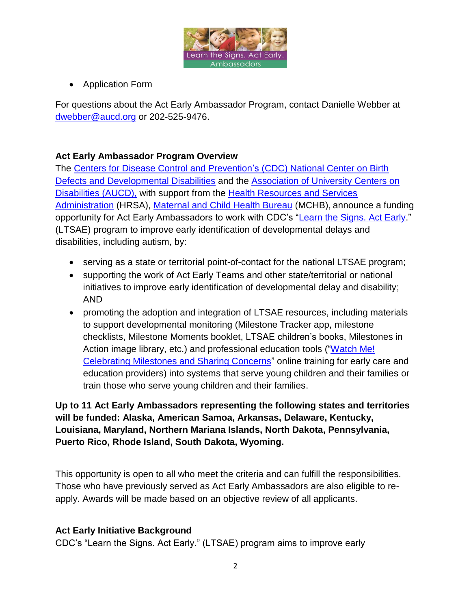

• Application Form

For questions about the Act Early Ambassador Program, contact Danielle Webber at [dwebber@aucd.org](mailto:dwebber@aucd.org) or 202-525-9476.

## **Act Early Ambassador Program Overview**

The [Centers for Disease Control and Prevention's](http://www.cdc.gov/ncbddd/) (CDC) National Center on Birth [Defects and Developmental Disabilities](http://www.cdc.gov/ncbddd/) and the [Association of University Centers on](http://www.aucd.org/actearly)  [Disabilities \(AUCD\),](http://www.aucd.org/actearly) with support from the [Health Resources and Services](http://www.hrsa.gov/)  [Administration](http://www.hrsa.gov/) (HRSA), [Maternal and Child Health Bureau](https://mchb.hrsa.gov/) (MCHB), announce a funding opportunity for Act Early Ambassadors to work with CDC's ["Learn the Signs. Act Early.](http://www.cdc.gov/actearly)" (LTSAE) program to improve early identification of developmental delays and disabilities, including autism, by:

- serving as a state or territorial point-of-contact for the national LTSAE program;
- supporting the work of Act Early Teams and other state/territorial or national initiatives to improve early identification of developmental delay and disability; AND
- promoting the adoption and integration of LTSAE resources, including materials to support developmental monitoring (Milestone Tracker app, milestone checklists, Milestone Moments booklet, LTSAE children's books, Milestones in Action image library, etc.) and professional education tools (["Watch Me!](http://www.cdc.gov/WatchMeTraining)  [Celebrating Milestones and Sharing Concerns"](http://www.cdc.gov/WatchMeTraining) online training for early care and education providers) into systems that serve young children and their families or train those who serve young children and their families.

## **Up to 11 Act Early Ambassadors representing the following states and territories will be funded: Alaska, American Samoa, Arkansas, Delaware, Kentucky, Louisiana, Maryland, Northern Mariana Islands, North Dakota, Pennsylvania, Puerto Rico, Rhode Island, South Dakota, Wyoming.**

This opportunity is open to all who meet the criteria and can fulfill the responsibilities. Those who have previously served as Act Early Ambassadors are also eligible to reapply. Awards will be made based on an objective review of all applicants.

### **Act Early Initiative Background**

CDC's "Learn the Signs. Act Early." (LTSAE) program aims to improve early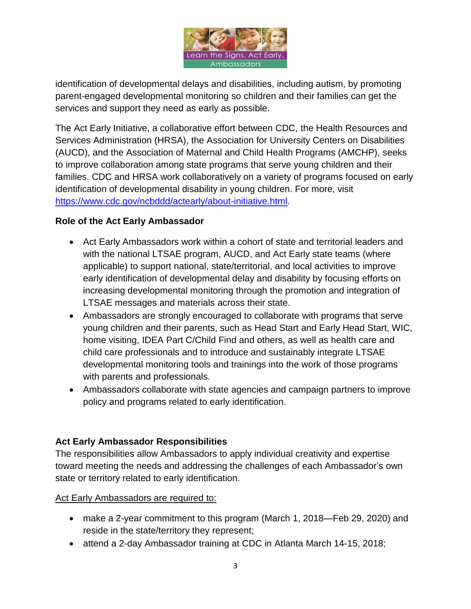

identification of developmental delays and disabilities, including autism, by promoting parent-engaged developmental monitoring so children and their families can get the services and support they need as early as possible.

The Act Early Initiative, a collaborative effort between CDC, the Health Resources and Services Administration (HRSA), the Association for University Centers on Disabilities (AUCD), and the Association of Maternal and Child Health Programs (AMCHP), seeks to improve collaboration among state programs that serve young children and their families. CDC and HRSA work collaboratively on a variety of programs focused on early identification of developmental disability in young children. For more, visit [https://www.cdc.gov/ncbddd/actearly/about-initiative.html.](https://www.cdc.gov/ncbddd/actearly/about-initiative.html)

### **Role of the Act Early Ambassador**

- Act Early Ambassadors work within a cohort of state and territorial leaders and with the national LTSAE program, AUCD, and Act Early state teams (where applicable) to support national, state/territorial, and local activities to improve early identification of developmental delay and disability by focusing efforts on increasing developmental monitoring through the promotion and integration of LTSAE messages and materials across their state.
- Ambassadors are strongly encouraged to collaborate with programs that serve young children and their parents, such as Head Start and Early Head Start, WIC, home visiting, IDEA Part C/Child Find and others, as well as health care and child care professionals and to introduce and sustainably integrate LTSAE developmental monitoring tools and trainings into the work of those programs with parents and professionals.
- Ambassadors collaborate with state agencies and campaign partners to improve policy and programs related to early identification.

# **Act Early Ambassador Responsibilities**

The responsibilities allow Ambassadors to apply individual creativity and expertise toward meeting the needs and addressing the challenges of each Ambassador's own state or territory related to early identification.

Act Early Ambassadors are required to:

- make a 2-year commitment to this program (March 1, 2018—Feb 29, 2020) and reside in the state/territory they represent;
- attend a 2-day Ambassador training at CDC in Atlanta March 14-15, 2018;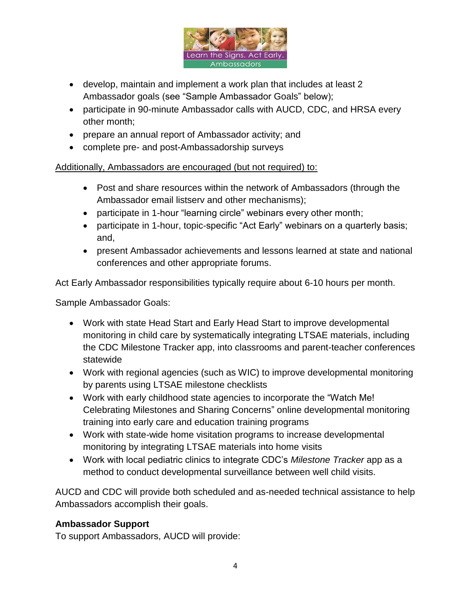

- develop, maintain and implement a work plan that includes at least 2 Ambassador goals (see "Sample Ambassador Goals" below);
- participate in 90-minute Ambassador calls with AUCD, CDC, and HRSA every other month;
- prepare an annual report of Ambassador activity; and
- complete pre- and post-Ambassadorship surveys

Additionally, Ambassadors are encouraged (but not required) to:

- Post and share resources within the network of Ambassadors (through the Ambassador email listserv and other mechanisms);
- participate in 1-hour "learning circle" webinars every other month;
- participate in 1-hour, topic-specific "Act Early" webinars on a quarterly basis; and,
- present Ambassador achievements and lessons learned at state and national conferences and other appropriate forums.

Act Early Ambassador responsibilities typically require about 6-10 hours per month.

Sample Ambassador Goals:

- Work with state Head Start and Early Head Start to improve developmental monitoring in child care by systematically integrating LTSAE materials, including the CDC Milestone Tracker app, into classrooms and parent-teacher conferences statewide
- Work with regional agencies (such as WIC) to improve developmental monitoring by parents using LTSAE milestone checklists
- Work with early childhood state agencies to incorporate the "Watch Me! Celebrating Milestones and Sharing Concerns" online developmental monitoring training into early care and education training programs
- Work with state-wide home visitation programs to increase developmental monitoring by integrating LTSAE materials into home visits
- Work with local pediatric clinics to integrate CDC's *Milestone Tracker* app as a method to conduct developmental surveillance between well child visits.

AUCD and CDC will provide both scheduled and as-needed technical assistance to help Ambassadors accomplish their goals.

### **Ambassador Support**

To support Ambassadors, AUCD will provide: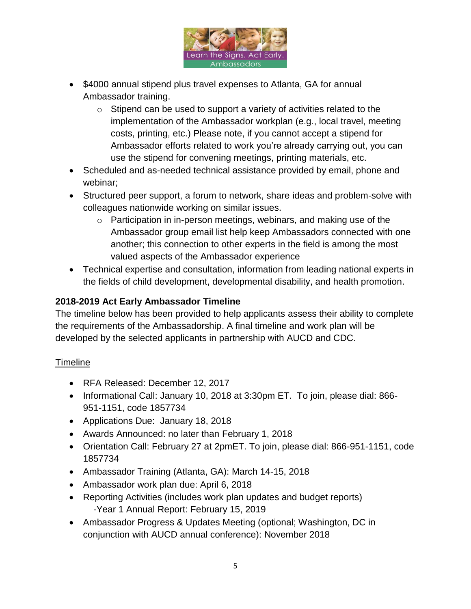

- \$4000 annual stipend plus travel expenses to Atlanta, GA for annual Ambassador training.
	- $\circ$  Stipend can be used to support a variety of activities related to the implementation of the Ambassador workplan (e.g., local travel, meeting costs, printing, etc.) Please note, if you cannot accept a stipend for Ambassador efforts related to work you're already carrying out, you can use the stipend for convening meetings, printing materials, etc.
- Scheduled and as-needed technical assistance provided by email, phone and webinar;
- Structured peer support, a forum to network, share ideas and problem-solve with colleagues nationwide working on similar issues.
	- o Participation in in-person meetings, webinars, and making use of the Ambassador group email list help keep Ambassadors connected with one another; this connection to other experts in the field is among the most valued aspects of the Ambassador experience
- Technical expertise and consultation, information from leading national experts in the fields of child development, developmental disability, and health promotion.

# **2018-2019 Act Early Ambassador Timeline**

The timeline below has been provided to help applicants assess their ability to complete the requirements of the Ambassadorship. A final timeline and work plan will be developed by the selected applicants in partnership with AUCD and CDC.

### **Timeline**

- RFA Released: December 12, 2017
- Informational Call: January 10, 2018 at 3:30pm ET. To join, please dial: 866- 951-1151, code 1857734
- Applications Due: January 18, 2018
- Awards Announced: no later than February 1, 2018
- Orientation Call: February 27 at 2pmET. To join, please dial: 866-951-1151, code 1857734
- Ambassador Training (Atlanta, GA): March 14-15, 2018
- Ambassador work plan due: April 6, 2018
- Reporting Activities (includes work plan updates and budget reports) -Year 1 Annual Report: February 15, 2019
- Ambassador Progress & Updates Meeting (optional; Washington, DC in conjunction with AUCD annual conference): November 2018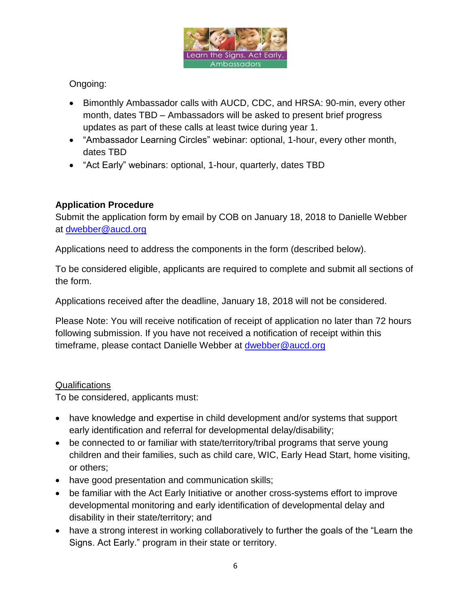

# Ongoing:

- Bimonthly Ambassador calls with AUCD, CDC, and HRSA: 90-min, every other month, dates TBD – Ambassadors will be asked to present brief progress updates as part of these calls at least twice during year 1.
- "Ambassador Learning Circles" webinar: optional, 1-hour, every other month, dates TBD
- "Act Early" webinars: optional, 1-hour, quarterly, dates TBD

## **Application Procedure**

Submit the application form by email by COB on January 18, 2018 to Danielle Webber at [dwebber@aucd.org](mailto:dwebber@aucd.org)

Applications need to address the components in the form (described below).

To be considered eligible, applicants are required to complete and submit all sections of the form.

Applications received after the deadline, January 18, 2018 will not be considered.

Please Note: You will receive notification of receipt of application no later than 72 hours following submission. If you have not received a notification of receipt within this timeframe, please contact Danielle Webber at **dwebber@aucd.org** 

### Qualifications

To be considered, applicants must:

- have knowledge and expertise in child development and/or systems that support early identification and referral for developmental delay/disability;
- be connected to or familiar with state/territory/tribal programs that serve young children and their families, such as child care, WIC, Early Head Start, home visiting, or others;
- have good presentation and communication skills;
- be familiar with the Act Early Initiative or another cross-systems effort to improve developmental monitoring and early identification of developmental delay and disability in their state/territory; and
- have a strong interest in working collaboratively to further the goals of the "Learn the Signs. Act Early." program in their state or territory.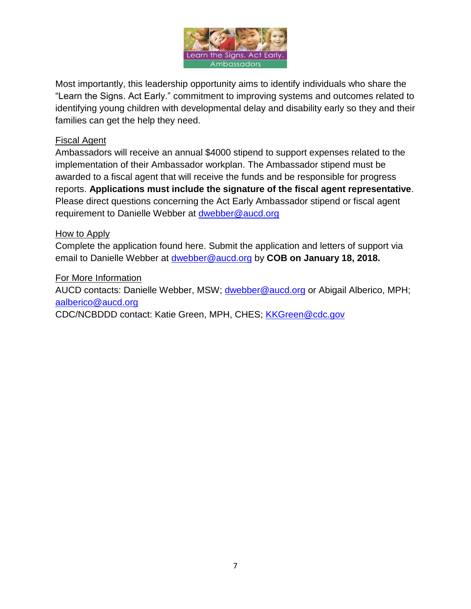

Most importantly, this leadership opportunity aims to identify individuals who share the "Learn the Signs. Act Early." commitment to improving systems and outcomes related to identifying young children with developmental delay and disability early so they and their families can get the help they need.

#### Fiscal Agent

Ambassadors will receive an annual \$4000 stipend to support expenses related to the implementation of their Ambassador workplan. The Ambassador stipend must be awarded to a fiscal agent that will receive the funds and be responsible for progress reports. **Applications must include the signature of the fiscal agent representative**. Please direct questions concerning the Act Early Ambassador stipend or fiscal agent requirement to Danielle Webber at [dwebber@aucd.org](mailto:dwebber@aucd.org)

#### How to Apply

Complete the application found here. Submit the application and letters of support via email to Danielle Webber at [dwebber@aucd.org](mailto:dwebber@aucd.org) by **COB on January 18, 2018.** 

#### For More Information

AUCD contacts: Danielle Webber, MSW; [dwebber@aucd.org](mailto:dwebber@aucd.org) or Abigail Alberico, MPH; [aalberico@aucd.org](mailto:agriffen@aucd.org)

CDC/NCBDDD contact: Katie Green, MPH, CHES; [KKGreen@cdc.gov](mailto:KKGreen@cdc.gov)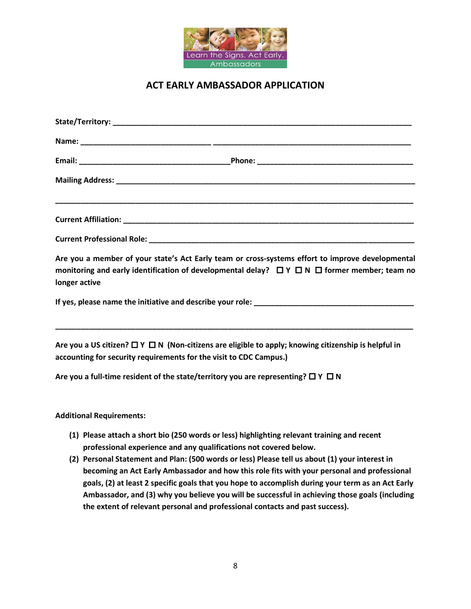

## **ACT EARLY AMBASSADOR APPLICATION**

| longer active                                                                               | Are you a member of your state's Act Early team or cross-systems effort to improve developmental<br>monitoring and early identification of developmental delay? $\Box Y \Box N \Box$ former member; team no |  |
|---------------------------------------------------------------------------------------------|-------------------------------------------------------------------------------------------------------------------------------------------------------------------------------------------------------------|--|
|                                                                                             |                                                                                                                                                                                                             |  |
| accounting for security requirements for the visit to CDC Campus.)                          | Are you a US citizen? $\Box$ Y $\Box$ N (Non-citizens are eligible to apply; knowing citizenship is helpful in                                                                                              |  |
| Are you a full-time resident of the state/territory you are representing? $\Box$ Y $\Box$ N |                                                                                                                                                                                                             |  |
| <b>Additional Requirements:</b>                                                             |                                                                                                                                                                                                             |  |
| professional experience and any qualifications not covered below.                           | (1) Please attach a short bio (250 words or less) highlighting relevant training and recent<br>(2) Personal Statement and Plan: (500 words or less) Please tell us about (1) your interest in               |  |

**becoming an Act Early Ambassador and how this role fits with your personal and professional goals, (2) at least 2 specific goals that you hope to accomplish during your term as an Act Early Ambassador, and (3) why you believe you will be successful in achieving those goals (including the extent of relevant personal and professional contacts and past success).**